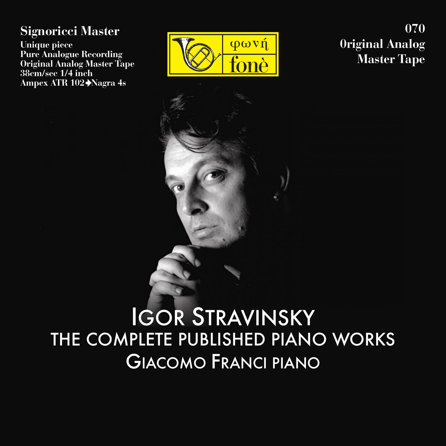### **Signoricci Master**

**Unique piece Pure Analogue Recording Original Analog Master Tape 38cm/sec 1/4 inch Ampex ATR 102 Nagra 4s**



**070 0riginal Analog Master Tape**

# IGOR STRAVINSKY THE COMPLETE PUBLISHED PIANO WORKS GIACOMO FRANCI PIANO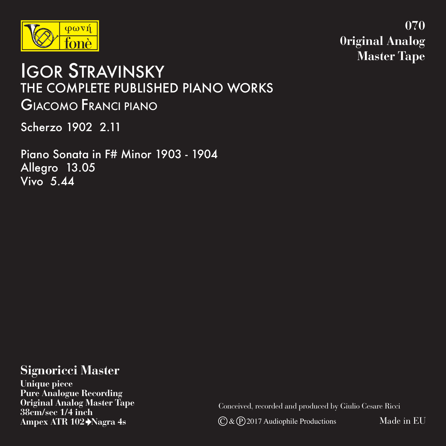

**070 0riginal Analog Master Tape**

## IGOR STRAVINSKY THE COMPLETE PUBLISHED PIANO WORKS GIACOMO FRANCI PIANO

Scherzo 1902 2.11

Piano Sonata in F# Minor 1903 - 1904 Allegro 13.05 Vivo 5.44

### **Signoricci Master**

**Unique piece Pure Analogue Recording Original Analog Master Tape 38cm/sec 1/4 inch Ampex ATR 102 Nagra 4s**

Conceived, recorded and produced by Giulio Cesare Ricci

 $\mathbb{C}$  &  $\mathbb{P}$  2017 Audiophile Productions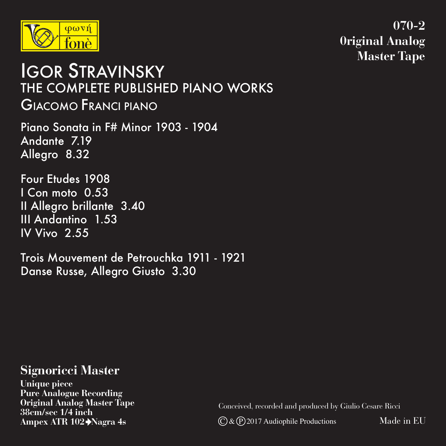

**070-2 0riginal Analog Master Tape**

## IGOR STRAVINSKY THE COMPLETE PUBLISHED PIANO WORKS GIACOMO FRANCI PIANO

Piano Sonata in F# Minor 1903 - 1904 Andante 7.19 Allegro 8.32

Four Etudes 1908 I Con moto 0.53 II Allegro brillante 3.40 III Andantino 1.53 IV Vivo 2.55

Trois Mouvement de Petrouchka 1911 - 1921 Danse Russe, Allegro Giusto 3.30

#### **Signoricci Master**

**Unique piece Pure Analogue Recording Original Analog Master Tape 38cm/sec 1/4 inch Ampex ATR 102 Nagra 4s**

Conceived, recorded and produced by Giulio Cesare Ricci

 $\overline{C}$  &  $\overline{P}$  2017 Audiophile Productions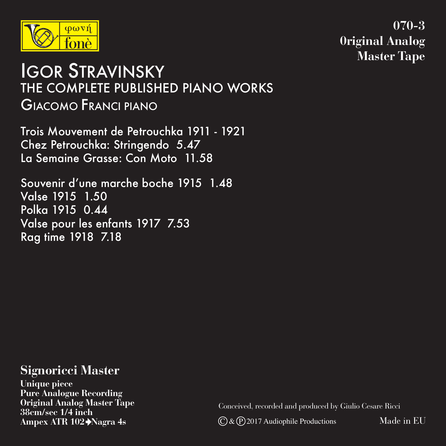

**070-3 0riginal Analog Master Tape**

## IGOR STRAVINSKY THE COMPLETE PUBLISHED PIANO WORKS GIACOMO FRANCI PIANO

Trois Mouvement de Petrouchka 1911 - 1921 Chez Petrouchka: Stringendo 5.47 La Semaine Grasse: Con Moto 11.58

Souvenir d'une marche boche 1915 1.48 Valse 1915 1.50 Polka 1915 0.44 Valse pour les enfants 1917 7.53 Rag time 1918 7.18

#### **Signoricci Master**

**Unique piece Pure Analogue Recording Original Analog Master Tape 38cm/sec 1/4 inch Ampex ATR 102 Nagra 4s**

Conceived, recorded and produced by Giulio Cesare Ricci

 $\overline{C}$  &  $\overline{P}$  2017 Audiophile Productions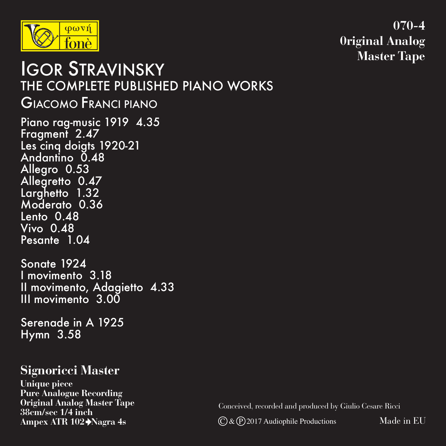

**070-4 0riginal Analog Master Tape**

### Piano rag-music 1919 4.35 Fragment 2.47 Les cinq doigts 1920-21 Andantino 0.48 Allegro 0.53 Allegretto 0.47 Larghetto 1.32 Moderato 0.36 Lento 0.48 Vivo 0.48 Pesante 1.04 Sonate 1924 I movimento 3.18 Il movimento, Adagietto 4.33 III movimento 3.00 IGOR STRAVINSKY THE COMPLETE PUBLISHED PIANO WORKS GIACOMO FRANCI PIANO

Serenade in A 1925 Hymn 3.58

### **Signoricci Master**

**Unique piece Pure Analogue Recording Original Analog Master Tape 38cm/sec 1/4 inch Ampex ATR 102 Nagra 4s**

Conceived, recorded and produced by Giulio Cesare Ricci

 $\mathbb{C}$  &  $\mathbb{P}$  2017 Audiophile Productions